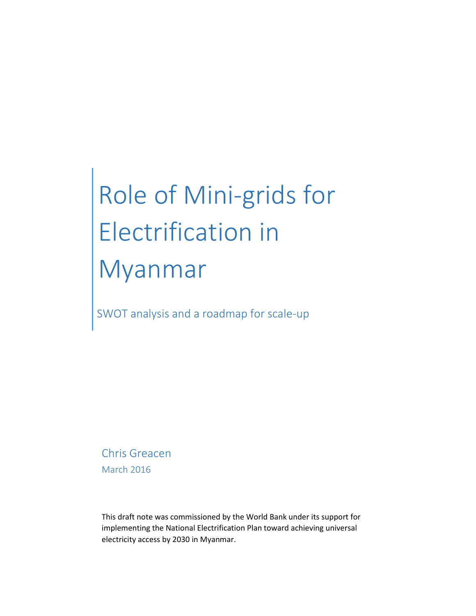# Role of Mini-grids for Electrification in Myanmar

SWOT analysis and a roadmap for scale-up

Chris Greacen March 2016

This draft note was commissioned by the World Bank under its support for implementing the National Electrification Plan toward achieving universal electricity access by 2030 in Myanmar.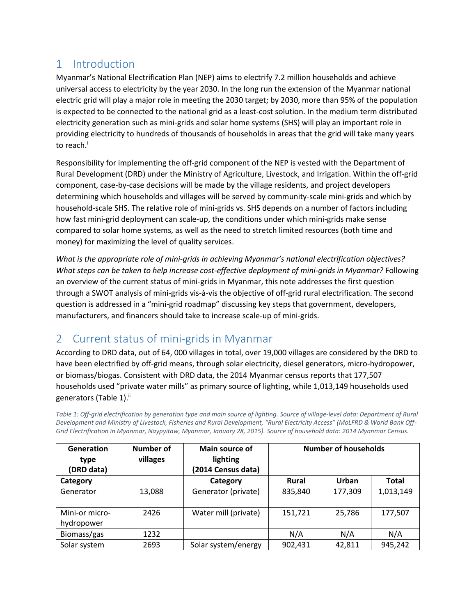# 1 Introduction

Myanmar's National Electrification Plan (NEP) aims to electrify 7.2 million households and achieve universal access to electricity by the year 2030. In the long run the extension of the Myanmar national electric grid will play a major role in meeting the 2030 target; by 2030, more than 95% of the population is expected to be connected to the national grid as a least-cost solution. In the medium term distributed electricity generation such as mini-grids and solar home systems (SHS) will play an important role in providing electricity to hundreds of thousands of households in areas that the grid will take many years to reach.<sup>i</sup>

Responsibility for implementing the off-grid component of the NEP is vested with the Department of Rural Development (DRD) under the Ministry of Agriculture, Livestock, and Irrigation. Within the off-grid component, case-by-case decisions will be made by the village residents, and project developers determining which households and villages will be served by community-scale mini-grids and which by household-scale SHS. The relative role of mini-grids vs. SHS depends on a number of factors including how fast mini-grid deployment can scale-up, the conditions under which mini-grids make sense compared to solar home systems, as well as the need to stretch limited resources (both time and money) for maximizing the level of quality services.

*What is the appropriate role of mini-grids in achieving Myanmar's national electrification objectives? What steps can be taken to help increase cost-effective deployment of mini-grids in Myanmar?* Following an overview of the current status of mini-grids in Myanmar, this note addresses the first question through a SWOT analysis of mini-grids vis-à-vis the objective of off-grid rural electrification. The second question is addressed in a "mini-grid roadmap" discussing key steps that government, developers, manufacturers, and financers should take to increase scale-up of mini-grids.

# 2 Current status of mini-grids in Myanmar

According to DRD data, out of 64, 000 villages in total, over 19,000 villages are considered by the DRD to have been electrified by off-grid means, through solar electricity, diesel generators, micro-hydropower, or biomass/biogas. Consistent with DRD data, the 2014 Myanmar census reports that 177,507 households used "private water mills" as primary source of lighting, while 1,013,149 households used generators (Table 1).<sup>ii</sup>

*Table 1: Off-grid electrification by generation type and main source of lighting. Source of village-level data: Department of Rural Development and Ministry of Livestock, Fisheries and Rural Development, "Rural Electricity Access" (MoLFRD & World Bank Off-Grid Electrification in Myanmar, Naypyitaw, Myanmar, January 28, 2015). Source of household data: 2014 Myanmar Census.*

| <b>Generation</b><br>type<br>(DRD data) | Number of<br>villages | Main source of<br>lighting<br>(2014 Census data) | <b>Number of households</b> |         |              |
|-----------------------------------------|-----------------------|--------------------------------------------------|-----------------------------|---------|--------------|
| Category                                |                       | Category                                         | <b>Rural</b>                | Urban   | <b>Total</b> |
| Generator                               | 13,088                | Generator (private)                              | 835,840                     | 177,309 | 1,013,149    |
| Mini-or micro-<br>hydropower            | 2426                  | Water mill (private)                             | 151,721                     | 25,786  | 177,507      |
| Biomass/gas                             | 1232                  |                                                  | N/A                         | N/A     | N/A          |
| Solar system                            | 2693                  | Solar system/energy                              | 902,431                     | 42,811  | 945,242      |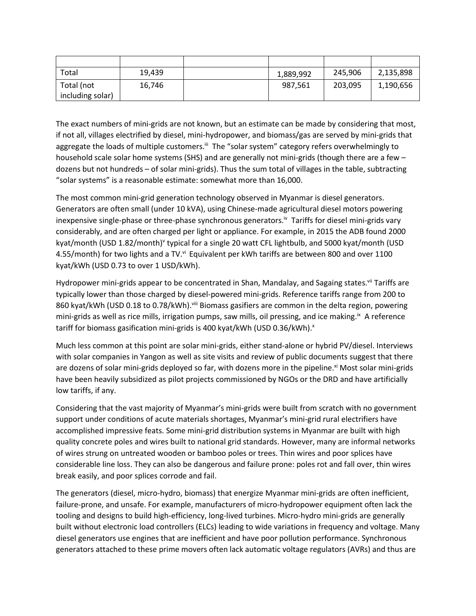| Total            | 19,439 | 1,889,992 | 245,906 | 2,135,898 |
|------------------|--------|-----------|---------|-----------|
| Total (not       | 16,746 | 987,561   | 203,095 | 1,190,656 |
| including solar) |        |           |         |           |

The exact numbers of mini-grids are not known, but an estimate can be made by considering that most, if not all, villages electrified by diesel, mini-hydropower, and biomass/gas are served by mini-grids that aggregate the loads of multiple customers.<sup>iii</sup> The "solar system" category refers overwhelmingly to household scale solar home systems (SHS) and are generally not mini-grids (though there are a few – dozens but not hundreds – of solar mini-grids). Thus the sum total of villages in the table, subtracting "solar systems" is a reasonable estimate: somewhat more than 16,000.

The most common mini-grid generation technology observed in Myanmar is diesel generators. Generators are often small (under 10 kVA), using Chinese-made agricultural diesel motors powering inexpensive single-phase or three-phase synchronous generators.<sup>iv</sup> Tariffs for diesel mini-grids vary considerably, and are often charged per light or appliance. For example, in 2015 the ADB found 2000 kyat/month (USD 1.82/month)<sup>v</sup> typical for a single 20 watt CFL lightbulb, and 5000 kyat/month (USD 4.55/month) for two lights and a TV.<sup>vi</sup> Equivalent per kWh tariffs are between 800 and over 1100 kyat/kWh (USD 0.73 to over 1 USD/kWh).

Hydropower mini-grids appear to be concentrated in Shan, Mandalay, and Sagaing states.<sup>vii</sup> Tariffs are typically lower than those charged by diesel-powered mini-grids. Reference tariffs range from 200 to 860 kyat/kWh (USD 0.18 to 0.78/kWh). Viii Biomass gasifiers are common in the delta region, powering mini-grids as well as rice mills, irrigation pumps, saw mills, oil pressing, and ice making.<sup>ix</sup> A reference tariff for biomass gasification mini-grids is 400 kyat/kWh (USD 0.36/kWh).<sup>x</sup>

Much less common at this point are solar mini-grids, either stand-alone or hybrid PV/diesel. Interviews with solar companies in Yangon as well as site visits and review of public documents suggest that there are dozens of solar mini-grids deployed so far, with dozens more in the pipeline.<sup>xi</sup> Most solar mini-grids have been heavily subsidized as pilot projects commissioned by NGOs or the DRD and have artificially low tariffs, if any.

Considering that the vast majority of Myanmar's mini-grids were built from scratch with no government support under conditions of acute materials shortages, Myanmar's mini-grid rural electrifiers have accomplished impressive feats. Some mini-grid distribution systems in Myanmar are built with high quality concrete poles and wires built to national grid standards. However, many are informal networks of wires strung on untreated wooden or bamboo poles or trees. Thin wires and poor splices have considerable line loss. They can also be dangerous and failure prone: poles rot and fall over, thin wires break easily, and poor splices corrode and fail.

The generators (diesel, micro-hydro, biomass) that energize Myanmar mini-grids are often inefficient, failure-prone, and unsafe. For example, manufacturers of micro-hydropower equipment often lack the tooling and designs to build high-efficiency, long-lived turbines. Micro-hydro mini-grids are generally built without electronic load controllers (ELCs) leading to wide variations in frequency and voltage. Many diesel generators use engines that are inefficient and have poor pollution performance. Synchronous generators attached to these prime movers often lack automatic voltage regulators (AVRs) and thus are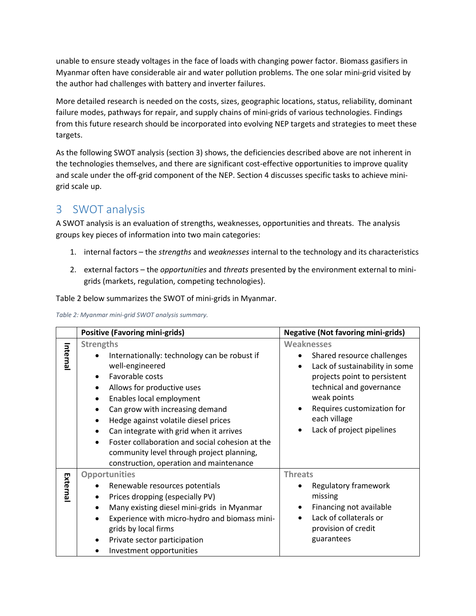unable to ensure steady voltages in the face of loads with changing power factor. Biomass gasifiers in Myanmar often have considerable air and water pollution problems. The one solar mini-grid visited by the author had challenges with battery and inverter failures.

More detailed research is needed on the costs, sizes, geographic locations, status, reliability, dominant failure modes, pathways for repair, and supply chains of mini-grids of various technologies. Findings from this future research should be incorporated into evolving NEP targets and strategies to meet these targets.

As the following SWOT analysis (section 3) shows, the deficiencies described above are not inherent in the technologies themselves, and there are significant cost-effective opportunities to improve quality and scale under the off-grid component of the NEP. Section 4 discusses specific tasks to achieve minigrid scale up.

# 3 SWOT analysis

A SWOT analysis is an evaluation of strengths, weaknesses, opportunities and threats. The analysis groups key pieces of information into two main categories:

- 1. internal factors the *strengths* and *weaknesses* internal to the technology and its characteristics
- 2. external factors the *opportunities* and *threats* presented by the environment external to minigrids (markets, regulation, competing technologies).

Table 2 below summarizes the SWOT of mini-grids in Myanmar.

| Table 2: Myanmar mini-grid SWOT analysis summary. |  |  |  |  |
|---------------------------------------------------|--|--|--|--|
|---------------------------------------------------|--|--|--|--|

|          | <b>Positive (Favoring mini-grids)</b>                                                                                                                                                                                                                                                                               | <b>Negative (Not favoring mini-grids)</b>                                                                                                                    |  |
|----------|---------------------------------------------------------------------------------------------------------------------------------------------------------------------------------------------------------------------------------------------------------------------------------------------------------------------|--------------------------------------------------------------------------------------------------------------------------------------------------------------|--|
| Internal | <b>Strengths</b><br>Internationally: technology can be robust if<br>well-engineered<br>Favorable costs<br>$\bullet$<br>Allows for productive uses<br>$\bullet$<br>Enables local employment<br>$\bullet$                                                                                                             | <b>Weaknesses</b><br>Shared resource challenges<br>Lack of sustainability in some<br>projects point to persistent<br>technical and governance<br>weak points |  |
|          | Can grow with increasing demand<br>$\bullet$<br>Hedge against volatile diesel prices<br>٠<br>Can integrate with grid when it arrives<br>$\bullet$<br>Foster collaboration and social cohesion at the<br>$\bullet$<br>community level through project planning,<br>construction, operation and maintenance           | Requires customization for<br>each village<br>Lack of project pipelines                                                                                      |  |
| External | <b>Opportunities</b><br>Renewable resources potentials<br>Prices dropping (especially PV)<br>Many existing diesel mini-grids in Myanmar<br>$\bullet$<br>Experience with micro-hydro and biomass mini-<br>$\bullet$<br>grids by local firms<br>Private sector participation<br>$\bullet$<br>Investment opportunities | <b>Threats</b><br>Regulatory framework<br>missing<br>Financing not available<br>Lack of collaterals or<br>$\bullet$<br>provision of credit<br>guarantees     |  |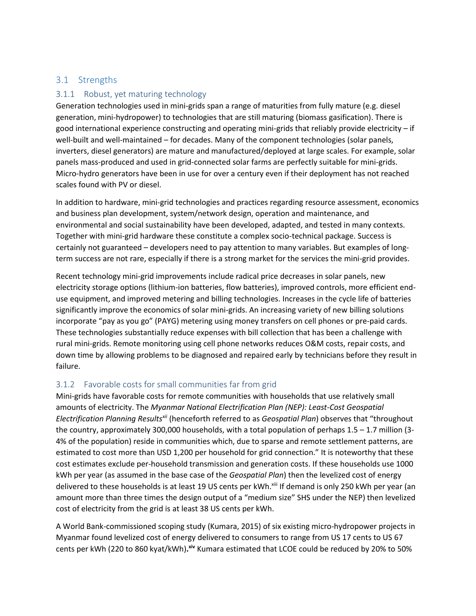#### 3.1 Strengths

#### 3.1.1 Robust, yet maturing technology

Generation technologies used in mini-grids span a range of maturities from fully mature (e.g. diesel generation, mini-hydropower) to technologies that are still maturing (biomass gasification). There is good international experience constructing and operating mini-grids that reliably provide electricity – if well-built and well-maintained – for decades. Many of the component technologies (solar panels, inverters, diesel generators) are mature and manufactured/deployed at large scales. For example, solar panels mass-produced and used in grid-connected solar farms are perfectly suitable for mini-grids. Micro-hydro generators have been in use for over a century even if their deployment has not reached scales found with PV or diesel.

In addition to hardware, mini-grid technologies and practices regarding resource assessment, economics and business plan development, system/network design, operation and maintenance, and environmental and social sustainability have been developed, adapted, and tested in many contexts. Together with mini-grid hardware these constitute a complex socio-technical package. Success is certainly not guaranteed – developers need to pay attention to many variables. But examples of longterm success are not rare, especially if there is a strong market for the services the mini-grid provides.

Recent technology mini-grid improvements include radical price decreases in solar panels, new electricity storage options (lithium-ion batteries, flow batteries), improved controls, more efficient enduse equipment, and improved metering and billing technologies. Increases in the cycle life of batteries significantly improve the economics of solar mini-grids. An increasing variety of new billing solutions incorporate "pay as you go" (PAYG) metering using money transfers on cell phones or pre-paid cards. These technologies substantially reduce expenses with bill collection that has been a challenge with rural mini-grids. Remote monitoring using cell phone networks reduces O&M costs, repair costs, and down time by allowing problems to be diagnosed and repaired early by technicians before they result in failure.

#### 3.1.2 Favorable costs for small communities far from grid

Mini-grids have favorable costs for remote communities with households that use relatively small amounts of electricity. The *Myanmar National Electrification Plan (NEP): Least-Cost Geospatial Electrification Planning Resultsxii* (henceforth referred to as *Geospatial Plan*) observes that "throughout the country, approximately 300,000 households, with a total population of perhaps  $1.5 - 1.7$  million (3-4% of the population) reside in communities which, due to sparse and remote settlement patterns, are estimated to cost more than USD 1,200 per household for grid connection." It is noteworthy that these cost estimates exclude per-household transmission and generation costs. If these households use 1000 kWh per year (as assumed in the base case of the *Geospatial Plan*) then the levelized cost of energy delivered to these households is at least 19 US cents per kWh.<sup>xiii</sup> If demand is only 250 kWh per year (an amount more than three times the design output of a "medium size" SHS under the NEP) then levelized cost of electricity from the grid is at least 38 US cents per kWh.

A World Bank-commissioned scoping study (Kumara, 2015) of six existing micro-hydropower projects in Myanmar found levelized cost of energy delivered to consumers to range from US 17 cents to US 67 cents per kWh (220 to 860 kyat/kWh)**. xiv** Kumara estimated that LCOE could be reduced by 20% to 50%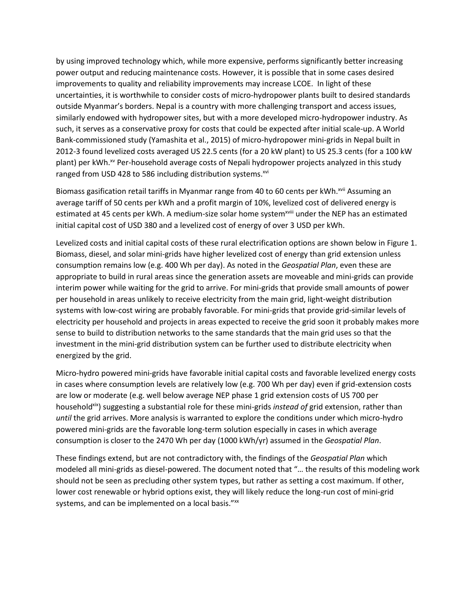by using improved technology which, while more expensive, performs significantly better increasing power output and reducing maintenance costs. However, it is possible that in some cases desired improvements to quality and reliability improvements may increase LCOE. In light of these uncertainties, it is worthwhile to consider costs of micro-hydropower plants built to desired standards outside Myanmar's borders. Nepal is a country with more challenging transport and access issues, similarly endowed with hydropower sites, but with a more developed micro-hydropower industry. As such, it serves as a conservative proxy for costs that could be expected after initial scale-up. A World Bank-commissioned study (Yamashita et al., 2015) of micro-hydropower mini-grids in Nepal built in 2012-3 found levelized costs averaged US 22.5 cents (for a 20 kW plant) to US 25.3 cents (for a 100 kW plant) per kWh.xv Per-household average costs of Nepali hydropower projects analyzed in this study ranged from USD 428 to 586 including distribution systems.<sup>xvi</sup>

Biomass gasification retail tariffs in Myanmar range from 40 to 60 cents per kWh.<sup>xvii</sup> Assuming an average tariff of 50 cents per kWh and a profit margin of 10%, levelized cost of delivered energy is estimated at 45 cents per kWh. A medium-size solar home system<sup>xviii</sup> under the NEP has an estimated initial capital cost of USD 380 and a levelized cost of energy of over 3 USD per kWh.

Levelized costs and initial capital costs of these rural electrification options are shown below in [Figure 1.](#page-6-0) Biomass, diesel, and solar mini-grids have higher levelized cost of energy than grid extension unless consumption remains low (e.g. 400 Wh per day). As noted in the *Geospatial Plan*, even these are appropriate to build in rural areas since the generation assets are moveable and mini-grids can provide interim power while waiting for the grid to arrive. For mini-grids that provide small amounts of power per household in areas unlikely to receive electricity from the main grid, light-weight distribution systems with low-cost wiring are probably favorable. For mini-grids that provide grid-similar levels of electricity per household and projects in areas expected to receive the grid soon it probably makes more sense to build to distribution networks to the same standards that the main grid uses so that the investment in the mini-grid distribution system can be further used to distribute electricity when energized by the grid.

Micro-hydro powered mini-grids have favorable initial capital costs and favorable levelized energy costs in cases where consumption levels are relatively low (e.g. 700 Wh per day) even if grid-extension costs are low or moderate (e.g. well below average NEP phase 1 grid extension costs of US 700 per householdxix) suggesting a substantial role for these mini-grids *instead of* grid extension, rather than *until* the grid arrives. More analysis is warranted to explore the conditions under which micro-hydro powered mini-grids are the favorable long-term solution especially in cases in which average consumption is closer to the 2470 Wh per day (1000 kWh/yr) assumed in the *Geospatial Plan*.

These findings extend, but are not contradictory with, the findings of the *Geospatial Plan* which modeled all mini-grids as diesel-powered. The document noted that "… the results of this modeling work should not be seen as precluding other system types, but rather as setting a cost maximum. If other, lower cost renewable or hybrid options exist, they will likely reduce the long-run cost of mini-grid systems, and can be implemented on a local basis." xx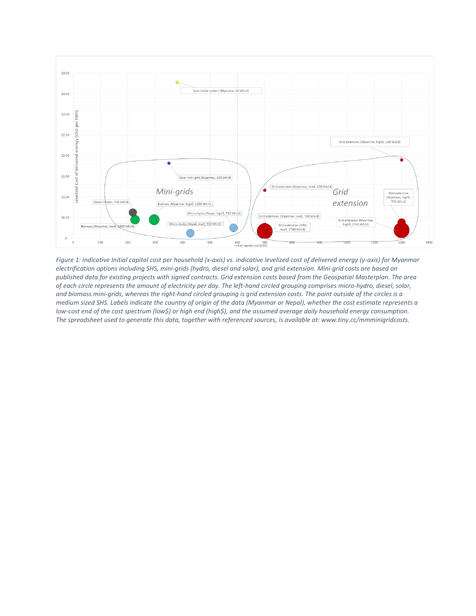

<span id="page-6-0"></span>*Figure 1: Indicative Initial capital cost per household (x-axis) vs. indicative levelized cost of delivered energy (y-axis) for Myanmar electrification options including SHS, mini-grids (hydro, diesel and solar), and grid extension. Mini-grid costs are based on published data for existing projects with signed contracts. Grid extension costs based from the Geospatial Masterplan. The area of each circle represents the amount of electricity per day. The left-hand circled grouping comprises micro-hydro, diesel, solar, and biomass mini-grids, whereas the right-hand circled grouping is grid extension costs. The point outside of the circles is a medium sized SHS. Labels indicate the country of origin of the data (Myanmar or Nepal), whether the cost estimate represents a low-cost end of the cost spectrum (low\$) or high end (high\$), and the assumed average daily household energy consumption. The spreadsheet used to generate this data, together with referenced sources, is available at: www.tiny.cc/mmminigridcosts.*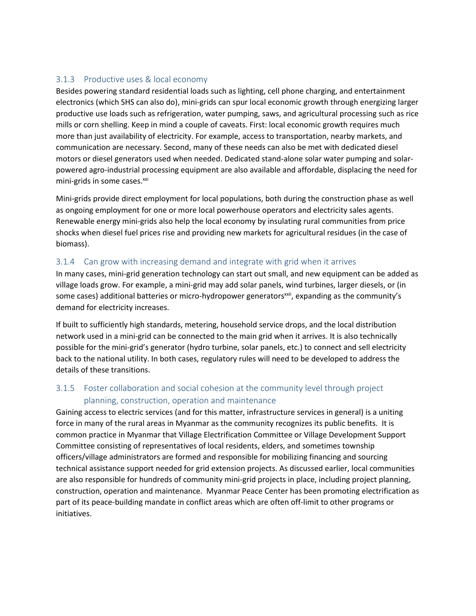#### 3.1.3 Productive uses & local economy

Besides powering standard residential loads such as lighting, cell phone charging, and entertainment electronics (which SHS can also do), mini-grids can spur local economic growth through energizing larger productive use loads such as refrigeration, water pumping, saws, and agricultural processing such as rice mills or corn shelling. Keep in mind a couple of caveats. First: local economic growth requires much more than just availability of electricity. For example, access to transportation, nearby markets, and communication are necessary. Second, many of these needs can also be met with dedicated diesel motors or diesel generators used when needed. Dedicated stand-alone solar water pumping and solarpowered agro-industrial processing equipment are also available and affordable, displacing the need for mini-grids in some cases.<sup>xxi</sup>

Mini-grids provide direct employment for local populations, both during the construction phase as well as ongoing employment for one or more local powerhouse operators and electricity sales agents. Renewable energy mini-grids also help the local economy by insulating rural communities from price shocks when diesel fuel prices rise and providing new markets for agricultural residues (in the case of biomass).

### 3.1.4 Can grow with increasing demand and integrate with grid when it arrives

In many cases, mini-grid generation technology can start out small, and new equipment can be added as village loads grow. For example, a mini-grid may add solar panels, wind turbines, larger diesels, or (in some cases) additional batteries or micro-hydropower generators<sup>xxii</sup>, expanding as the community's demand for electricity increases.

If built to sufficiently high standards, metering, household service drops, and the local distribution network used in a mini-grid can be connected to the main grid when it arrives. It is also technically possible for the mini-grid's generator (hydro turbine, solar panels, etc.) to connect and sell electricity back to the national utility. In both cases, regulatory rules will need to be developed to address the details of these transitions.

## 3.1.5 Foster collaboration and social cohesion at the community level through project planning, construction, operation and maintenance

Gaining access to electric services (and for this matter, infrastructure services in general) is a uniting force in many of the rural areas in Myanmar as the community recognizes its public benefits. It is common practice in Myanmar that Village Electrification Committee or Village Development Support Committee consisting of representatives of local residents, elders, and sometimes township officers/village administrators are formed and responsible for mobilizing financing and sourcing technical assistance support needed for grid extension projects. As discussed earlier, local communities are also responsible for hundreds of community mini-grid projects in place, including project planning, construction, operation and maintenance. Myanmar Peace Center has been promoting electrification as part of its peace-building mandate in conflict areas which are often off-limit to other programs or initiatives.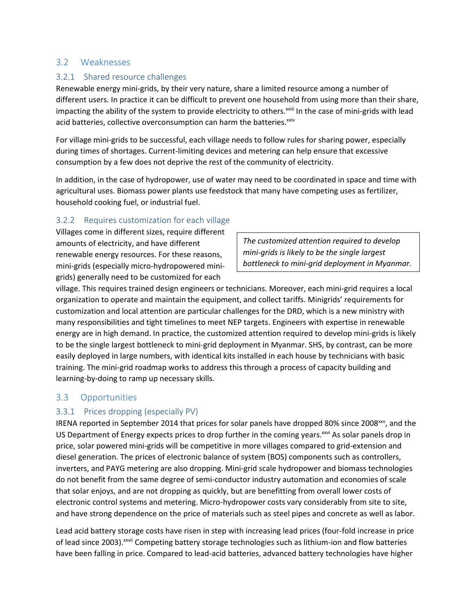#### 3.2 Weaknesses

#### 3.2.1 Shared resource challenges

Renewable energy mini-grids, by their very nature, share a limited resource among a number of different users. In practice it can be difficult to prevent one household from using more than their share, impacting the ability of the system to provide electricity to others.<sup>xxiii</sup> In the case of mini-grids with lead acid batteries, collective overconsumption can harm the batteries.<sup>xxiv</sup>

For village mini-grids to be successful, each village needs to follow rules for sharing power, especially during times of shortages. Current-limiting devices and metering can help ensure that excessive consumption by a few does not deprive the rest of the community of electricity.

In addition, in the case of hydropower, use of water may need to be coordinated in space and time with agricultural uses. Biomass power plants use feedstock that many have competing uses as fertilizer, household cooking fuel, or industrial fuel.

#### 3.2.2 Requires customization for each village

Villages come in different sizes, require different amounts of electricity, and have different renewable energy resources. For these reasons, mini-grids (especially micro-hydropowered minigrids) generally need to be customized for each

*The customized attention required to develop mini-grids is likely to be the single largest bottleneck to mini-grid deployment in Myanmar.*

village. This requires trained design engineers or technicians. Moreover, each mini-grid requires a local organization to operate and maintain the equipment, and collect tariffs. Minigrids' requirements for customization and local attention are particular challenges for the DRD, which is a new ministry with many responsibilities and tight timelines to meet NEP targets. Engineers with expertise in renewable energy are in high demand. In practice, the customized attention required to develop mini-grids is likely to be the single largest bottleneck to mini-grid deployment in Myanmar. SHS, by contrast, can be more easily deployed in large numbers, with identical kits installed in each house by technicians with basic training. The mini-grid roadmap works to address this through a process of capacity building and learning-by-doing to ramp up necessary skills.

#### 3.3 Opportunities

#### 3.3.1 Prices dropping (especially PV)

IRENA reported in September 2014 that prices for solar panels have dropped 80% since 2008<sup>xxv</sup>, and the US Department of Energy expects prices to drop further in the coming years.<sup>xxvi</sup> As solar panels drop in price, solar powered mini-grids will be competitive in more villages compared to grid-extension and diesel generation. The prices of electronic balance of system (BOS) components such as controllers, inverters, and PAYG metering are also dropping. Mini-grid scale hydropower and biomass technologies do not benefit from the same degree of semi-conductor industry automation and economies of scale that solar enjoys, and are not dropping as quickly, but are benefitting from overall lower costs of electronic control systems and metering. Micro-hydropower costs vary considerably from site to site, and have strong dependence on the price of materials such as steel pipes and concrete as well as labor.

Lead acid battery storage costs have risen in step with increasing lead prices (four-fold increase in price of lead since 2003).<sup>xxvii</sup> Competing battery storage technologies such as lithium-ion and flow batteries have been falling in price. Compared to lead-acid batteries, advanced battery technologies have higher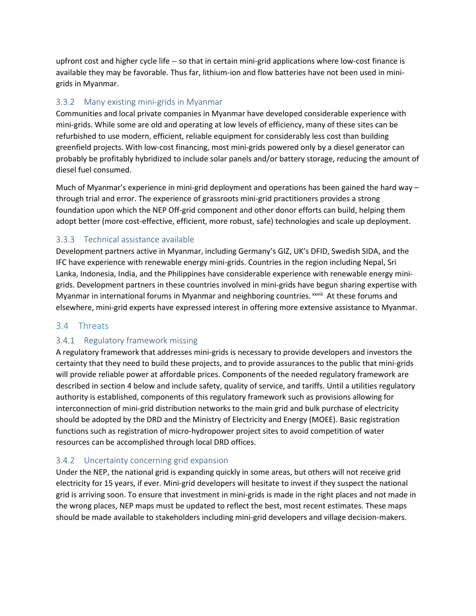upfront cost and higher cycle life -- so that in certain mini-grid applications where low-cost finance is available they may be favorable. Thus far, lithium-ion and flow batteries have not been used in minigrids in Myanmar.

#### 3.3.2 Many existing mini-grids in Myanmar

Communities and local private companies in Myanmar have developed considerable experience with mini-grids. While some are old and operating at low levels of efficiency, many of these sites can be refurbished to use modern, efficient, reliable equipment for considerably less cost than building greenfield projects. With low-cost financing, most mini-grids powered only by a diesel generator can probably be profitably hybridized to include solar panels and/or battery storage, reducing the amount of diesel fuel consumed.

Much of Myanmar's experience in mini-grid deployment and operations has been gained the hard way – through trial and error. The experience of grassroots mini-grid practitioners provides a strong foundation upon which the NEP Off-grid component and other donor efforts can build, helping them adopt better (more cost-effective, efficient, more robust, safe) technologies and scale up deployment.

## 3.3.3 Technical assistance available

Development partners active in Myanmar, including Germany's GIZ, UK's DFID, Swedish SIDA, and the IFC have experience with renewable energy mini-grids. Countries in the region including Nepal, Sri Lanka, Indonesia, India, and the Philippines have considerable experience with renewable energy minigrids. Development partners in these countries involved in mini-grids have begun sharing expertise with Myanmar in international forums in Myanmar and neighboring countries. *xxviii* At these forums and elsewhere, mini-grid experts have expressed interest in offering more extensive assistance to Myanmar.

## 3.4 Threats

#### 3.4.1 Regulatory framework missing

A regulatory framework that addresses mini-grids is necessary to provide developers and investors the certainty that they need to build these projects, and to provide assurances to the public that mini-grids will provide reliable power at affordable prices. Components of the needed regulatory framework are described in section 4 below and include safety, quality of service, and tariffs. Until a utilities regulatory authority is established, components of this regulatory framework such as provisions allowing for interconnection of mini-grid distribution networks to the main grid and bulk purchase of electricity should be adopted by the DRD and the Ministry of Electricity and Energy (MOEE). Basic registration functions such as registration of micro-hydropower project sites to avoid competition of water resources can be accomplished through local DRD offices.

#### 3.4.2 Uncertainty concerning grid expansion

Under the NEP, the national grid is expanding quickly in some areas, but others will not receive grid electricity for 15 years, if ever. Mini-grid developers will hesitate to invest if they suspect the national grid is arriving soon. To ensure that investment in mini-grids is made in the right places and not made in the wrong places, NEP maps must be updated to reflect the best, most recent estimates. These maps should be made available to stakeholders including mini-grid developers and village decision-makers.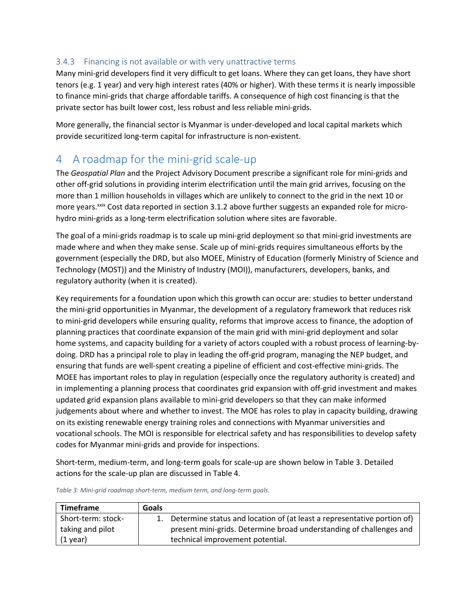#### 3.4.3 Financing is not available or with very unattractive terms

Many mini-grid developers find it very difficult to get loans. Where they can get loans, they have short tenors (e.g. 1 year) and very high interest rates (40% or higher). With these terms it is nearly impossible to finance mini-grids that charge affordable tariffs. A consequence of high cost financing is that the private sector has built lower cost, less robust and less reliable mini-grids.

More generally, the financial sector is Myanmar is under-developed and local capital markets which provide securitized long-term capital for infrastructure is non-existent.

## 4 A roadmap for the mini-grid scale-up

The *Geospatial Plan* and the Project Advisory Document prescribe a significant role for mini-grids and other off-grid solutions in providing interim electrification until the main grid arrives, focusing on the more than 1 million households in villages which are unlikely to connect to the grid in the next 10 or more years.<sup>xxix</sup> Cost data reported in section 3.1.2 above further suggests an expanded role for microhydro mini-grids as a long-term electrification solution where sites are favorable.

The goal of a mini-grids roadmap is to scale up mini-grid deployment so that mini-grid investments are made where and when they make sense. Scale up of mini-grids requires simultaneous efforts by the government (especially the DRD, but also MOEE, Ministry of Education (formerly Ministry of Science and Technology (MOST)) and the Ministry of Industry (MOI)), manufacturers, developers, banks, and regulatory authority (when it is created).

Key requirements for a foundation upon which this growth can occur are: studies to better understand the mini-grid opportunities in Myanmar, the development of a regulatory framework that reduces risk to mini-grid developers while ensuring quality, reforms that improve access to finance, the adoption of planning practices that coordinate expansion of the main grid with mini-grid deployment and solar home systems, and capacity building for a variety of actors coupled with a robust process of learning-bydoing. DRD has a principal role to play in leading the off-grid program, managing the NEP budget, and ensuring that funds are well-spent creating a pipeline of efficient and cost-effective mini-grids. The MOEE has important roles to play in regulation (especially once the regulatory authority is created) and in implementing a planning process that coordinates grid expansion with off-grid investment and makes updated grid expansion plans available to mini-grid developers so that they can make informed judgements about where and whether to invest. The MOE has roles to play in capacity building, drawing on its existing renewable energy training roles and connections with Myanmar universities and vocational schools. The MOI is responsible for electrical safety and has responsibilities to develop safety codes for Myanmar mini-grids and provide for inspections.

Short-term, medium-term, and long-term goals for scale-up are shown below in Table 3. Detailed actions for the scale-up plan are discussed in Table 4.

| Timeframe          | Goals |                                                                            |
|--------------------|-------|----------------------------------------------------------------------------|
| Short-term: stock- |       | 1. Determine status and location of (at least a representative portion of) |
| taking and pilot   |       | present mini-grids. Determine broad understanding of challenges and        |
| $(1$ year)         |       | technical improvement potential.                                           |

*Table 3: Mini-grid roadmap short-term, medium term, and long-term goals.*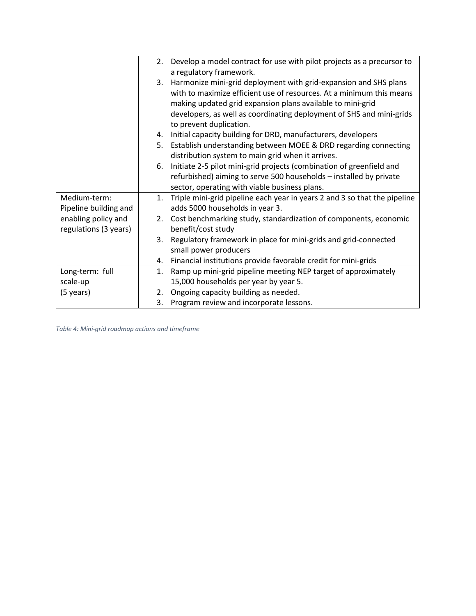|                       | 2. | Develop a model contract for use with pilot projects as a precursor to    |
|-----------------------|----|---------------------------------------------------------------------------|
|                       |    | a regulatory framework.                                                   |
|                       | 3. | Harmonize mini-grid deployment with grid-expansion and SHS plans          |
|                       |    | with to maximize efficient use of resources. At a minimum this means      |
|                       |    | making updated grid expansion plans available to mini-grid                |
|                       |    | developers, as well as coordinating deployment of SHS and mini-grids      |
|                       |    | to prevent duplication.                                                   |
|                       | 4. | Initial capacity building for DRD, manufacturers, developers              |
|                       | 5. | Establish understanding between MOEE & DRD regarding connecting           |
|                       |    | distribution system to main grid when it arrives.                         |
|                       | 6. | Initiate 2-5 pilot mini-grid projects (combination of greenfield and      |
|                       |    | refurbished) aiming to serve 500 households - installed by private        |
|                       |    | sector, operating with viable business plans.                             |
| Medium-term:          | 1. | Triple mini-grid pipeline each year in years 2 and 3 so that the pipeline |
| Pipeline building and |    | adds 5000 households in year 3.                                           |
| enabling policy and   |    | 2. Cost benchmarking study, standardization of components, economic       |
| regulations (3 years) |    | benefit/cost study                                                        |
|                       | 3. | Regulatory framework in place for mini-grids and grid-connected           |
|                       |    | small power producers                                                     |
|                       | 4. | Financial institutions provide favorable credit for mini-grids            |
| Long-term: full       | 1. | Ramp up mini-grid pipeline meeting NEP target of approximately            |
| scale-up              |    | 15,000 households per year by year 5.                                     |
| (5 years)             | 2. | Ongoing capacity building as needed.                                      |
|                       | 3. | Program review and incorporate lessons.                                   |

*Table 4: Mini-grid roadmap actions and timeframe*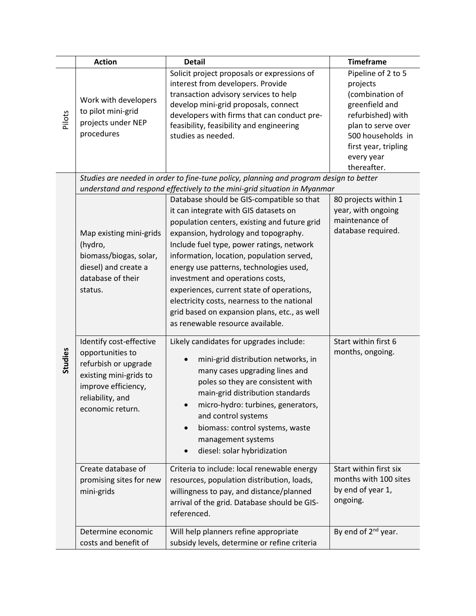|         | <b>Action</b>                                                                                                                                                | <b>Detail</b>                                                                                                                                                                                                                                                                                                                                                                                                                                                                                                                                                                                                   | <b>Timeframe</b>                                                                                                                                                                         |
|---------|--------------------------------------------------------------------------------------------------------------------------------------------------------------|-----------------------------------------------------------------------------------------------------------------------------------------------------------------------------------------------------------------------------------------------------------------------------------------------------------------------------------------------------------------------------------------------------------------------------------------------------------------------------------------------------------------------------------------------------------------------------------------------------------------|------------------------------------------------------------------------------------------------------------------------------------------------------------------------------------------|
| Pilots  | Work with developers<br>to pilot mini-grid<br>projects under NEP<br>procedures                                                                               | Solicit project proposals or expressions of<br>interest from developers. Provide<br>transaction advisory services to help<br>develop mini-grid proposals, connect<br>developers with firms that can conduct pre-<br>feasibility, feasibility and engineering<br>studies as needed.                                                                                                                                                                                                                                                                                                                              | Pipeline of 2 to 5<br>projects<br>(combination of<br>greenfield and<br>refurbished) with<br>plan to serve over<br>500 households in<br>first year, tripling<br>every year<br>thereafter. |
|         |                                                                                                                                                              | Studies are needed in order to fine-tune policy, planning and program design to better                                                                                                                                                                                                                                                                                                                                                                                                                                                                                                                          |                                                                                                                                                                                          |
|         | Map existing mini-grids<br>(hydro,<br>biomass/biogas, solar,<br>diesel) and create a<br>database of their<br>status.                                         | understand and respond effectively to the mini-grid situation in Myanmar<br>Database should be GIS-compatible so that<br>it can integrate with GIS datasets on<br>population centers, existing and future grid<br>expansion, hydrology and topography.<br>Include fuel type, power ratings, network<br>information, location, population served,<br>energy use patterns, technologies used,<br>investment and operations costs,<br>experiences, current state of operations,<br>electricity costs, nearness to the national<br>grid based on expansion plans, etc., as well<br>as renewable resource available. | 80 projects within 1<br>year, with ongoing<br>maintenance of<br>database required.                                                                                                       |
| Studies | Identify cost-effective<br>opportunities to<br>refurbish or upgrade<br>existing mini-grids to<br>improve efficiency,<br>reliability, and<br>economic return. | Likely candidates for upgrades include:<br>mini-grid distribution networks, in<br>many cases upgrading lines and<br>poles so they are consistent with<br>main-grid distribution standards<br>micro-hydro: turbines, generators,<br>and control systems<br>biomass: control systems, waste<br>$\bullet$<br>management systems<br>diesel: solar hybridization                                                                                                                                                                                                                                                     | Start within first 6<br>months, ongoing.                                                                                                                                                 |
|         | Create database of<br>promising sites for new<br>mini-grids                                                                                                  | Criteria to include: local renewable energy<br>resources, population distribution, loads,<br>willingness to pay, and distance/planned<br>arrival of the grid. Database should be GIS-<br>referenced.                                                                                                                                                                                                                                                                                                                                                                                                            | Start within first six<br>months with 100 sites<br>by end of year 1,<br>ongoing.                                                                                                         |
|         | Determine economic<br>costs and benefit of                                                                                                                   | Will help planners refine appropriate<br>subsidy levels, determine or refine criteria                                                                                                                                                                                                                                                                                                                                                                                                                                                                                                                           | By end of $2^{nd}$ year.                                                                                                                                                                 |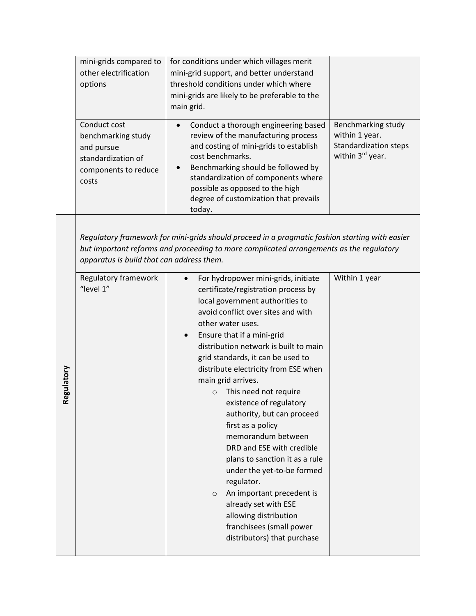|            | mini-grids compared to<br>other electrification<br>options<br>Conduct cost<br>benchmarking study<br>and pursue<br>standardization of<br>components to reduce<br>costs | for conditions under which villages merit<br>mini-grid support, and better understand<br>threshold conditions under which where<br>mini-grids are likely to be preferable to the<br>main grid.<br>Conduct a thorough engineering based<br>review of the manufacturing process<br>and costing of mini-grids to establish<br>cost benchmarks.<br>Benchmarking should be followed by<br>standardization of components where<br>possible as opposed to the high<br>degree of customization that prevails<br>today.                                                                                                                                                                                                                                                                                                                                                                                                                                                                   | Benchmarking study<br>within 1 year.<br><b>Standardization steps</b><br>within 3rd year. |
|------------|-----------------------------------------------------------------------------------------------------------------------------------------------------------------------|----------------------------------------------------------------------------------------------------------------------------------------------------------------------------------------------------------------------------------------------------------------------------------------------------------------------------------------------------------------------------------------------------------------------------------------------------------------------------------------------------------------------------------------------------------------------------------------------------------------------------------------------------------------------------------------------------------------------------------------------------------------------------------------------------------------------------------------------------------------------------------------------------------------------------------------------------------------------------------|------------------------------------------------------------------------------------------|
| Regulatory | apparatus is build that can address them.<br>Regulatory framework<br>"level 1"                                                                                        | Regulatory framework for mini-grids should proceed in a pragmatic fashion starting with easier<br>but important reforms and proceeding to more complicated arrangements as the regulatory<br>For hydropower mini-grids, initiate<br>$\bullet$<br>certificate/registration process by<br>local government authorities to<br>avoid conflict over sites and with<br>other water uses.<br>Ensure that if a mini-grid<br>$\bullet$<br>distribution network is built to main<br>grid standards, it can be used to<br>distribute electricity from ESE when<br>main grid arrives.<br>This need not require<br>$\circ$<br>existence of regulatory<br>authority, but can proceed<br>first as a policy<br>memorandum between<br>DRD and ESE with credible<br>plans to sanction it as a rule<br>under the yet-to-be formed<br>regulator.<br>An important precedent is<br>$\circ$<br>already set with ESE<br>allowing distribution<br>franchisees (small power<br>distributors) that purchase | Within 1 year                                                                            |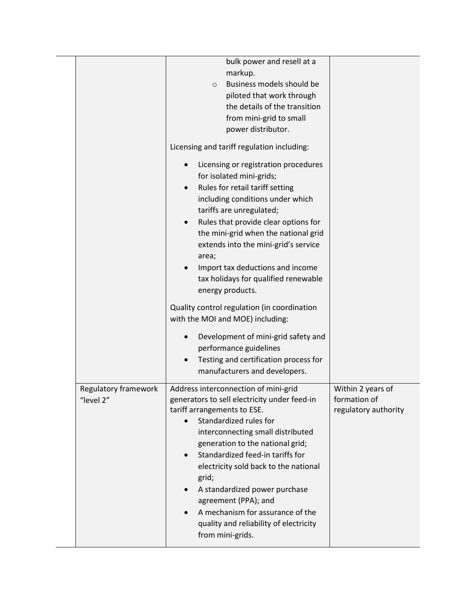|                                   | bulk power and resell at a<br>markup.<br>Business models should be<br>$\circ$<br>piloted that work through<br>the details of the transition<br>from mini-grid to small<br>power distributor.                                                                                                                                                                                                                                                                                                                   |                                                           |
|-----------------------------------|----------------------------------------------------------------------------------------------------------------------------------------------------------------------------------------------------------------------------------------------------------------------------------------------------------------------------------------------------------------------------------------------------------------------------------------------------------------------------------------------------------------|-----------------------------------------------------------|
|                                   | Licensing and tariff regulation including:<br>Licensing or registration procedures<br>$\bullet$<br>for isolated mini-grids;<br>Rules for retail tariff setting<br>$\bullet$<br>including conditions under which<br>tariffs are unregulated;<br>Rules that provide clear options for<br>$\bullet$<br>the mini-grid when the national grid<br>extends into the mini-grid's service<br>area;<br>Import tax deductions and income<br>tax holidays for qualified renewable<br>energy products.                      |                                                           |
|                                   | Quality control regulation (in coordination<br>with the MOI and MOE) including:<br>Development of mini-grid safety and<br>performance guidelines<br>Testing and certification process for<br>$\bullet$<br>manufacturers and developers.                                                                                                                                                                                                                                                                        |                                                           |
| Regulatory framework<br>"level 2" | Address interconnection of mini-grid<br>generators to sell electricity under feed-in<br>tariff arrangements to ESE.<br>Standardized rules for<br>$\bullet$<br>interconnecting small distributed<br>generation to the national grid;<br>Standardized feed-in tariffs for<br>$\bullet$<br>electricity sold back to the national<br>grid;<br>A standardized power purchase<br>$\bullet$<br>agreement (PPA); and<br>A mechanism for assurance of the<br>quality and reliability of electricity<br>from mini-grids. | Within 2 years of<br>formation of<br>regulatory authority |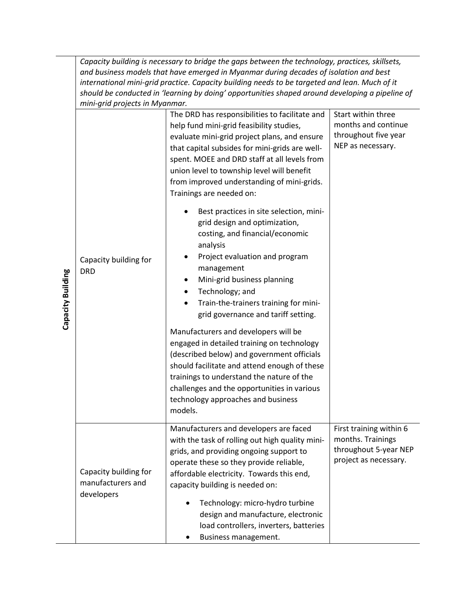| Capacity building is necessary to bridge the gaps between the technology, practices, skillsets,<br>and business models that have emerged in Myanmar during decades of isolation and best<br>international mini-grid practice. Capacity building needs to be targeted and lean. Much of it<br>should be conducted in 'learning by doing' opportunities shaped around developing a pipeline of<br>mini-grid projects in Myanmar. |                                                                                                                                                                                                                                                                                                                                                                                                                                                                                                                                                                                                                                                                                                                                                                                                                                                                                                                                                                                                                                                                   |                                                                                                                   |  |  |
|--------------------------------------------------------------------------------------------------------------------------------------------------------------------------------------------------------------------------------------------------------------------------------------------------------------------------------------------------------------------------------------------------------------------------------|-------------------------------------------------------------------------------------------------------------------------------------------------------------------------------------------------------------------------------------------------------------------------------------------------------------------------------------------------------------------------------------------------------------------------------------------------------------------------------------------------------------------------------------------------------------------------------------------------------------------------------------------------------------------------------------------------------------------------------------------------------------------------------------------------------------------------------------------------------------------------------------------------------------------------------------------------------------------------------------------------------------------------------------------------------------------|-------------------------------------------------------------------------------------------------------------------|--|--|
| Capacity building for<br><b>DRD</b>                                                                                                                                                                                                                                                                                                                                                                                            | The DRD has responsibilities to facilitate and<br>help fund mini-grid feasibility studies,<br>evaluate mini-grid project plans, and ensure<br>that capital subsides for mini-grids are well-<br>spent. MOEE and DRD staff at all levels from<br>union level to township level will benefit<br>from improved understanding of mini-grids.<br>Trainings are needed on:<br>Best practices in site selection, mini-<br>grid design and optimization,<br>costing, and financial/economic<br>analysis<br>Project evaluation and program<br>management<br>Mini-grid business planning<br>Technology; and<br>٠<br>Train-the-trainers training for mini-<br>grid governance and tariff setting.<br>Manufacturers and developers will be<br>engaged in detailed training on technology<br>(described below) and government officials<br>should facilitate and attend enough of these<br>trainings to understand the nature of the<br>challenges and the opportunities in various<br>technology approaches and business<br>models.<br>Manufacturers and developers are faced | Start within three<br>months and continue<br>throughout five year<br>NEP as necessary.<br>First training within 6 |  |  |
| Capacity building for<br>manufacturers and<br>developers                                                                                                                                                                                                                                                                                                                                                                       | with the task of rolling out high quality mini-<br>grids, and providing ongoing support to<br>operate these so they provide reliable,<br>affordable electricity. Towards this end,<br>capacity building is needed on:<br>Technology: micro-hydro turbine<br>design and manufacture, electronic<br>load controllers, inverters, batteries<br>Business management.                                                                                                                                                                                                                                                                                                                                                                                                                                                                                                                                                                                                                                                                                                  | months. Trainings<br>throughout 5-year NEP<br>project as necessary.                                               |  |  |

**Capacity Building Capacity Building**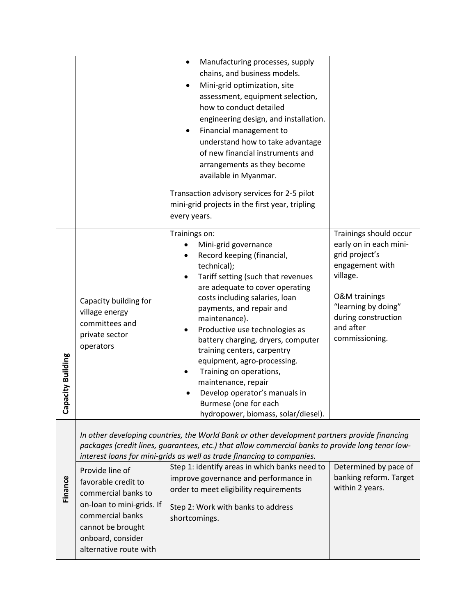|                       |                                                                                                                                                                                    | Manufacturing processes, supply<br>$\bullet$<br>chains, and business models.<br>Mini-grid optimization, site<br>assessment, equipment selection,<br>how to conduct detailed<br>engineering design, and installation.<br>Financial management to<br>understand how to take advantage<br>of new financial instruments and<br>arrangements as they become<br>available in Myanmar.<br>Transaction advisory services for 2-5 pilot<br>mini-grid projects in the first year, tripling<br>every years.                                    |                                                                                                                                                                                                            |
|-----------------------|------------------------------------------------------------------------------------------------------------------------------------------------------------------------------------|-------------------------------------------------------------------------------------------------------------------------------------------------------------------------------------------------------------------------------------------------------------------------------------------------------------------------------------------------------------------------------------------------------------------------------------------------------------------------------------------------------------------------------------|------------------------------------------------------------------------------------------------------------------------------------------------------------------------------------------------------------|
| pacity Building<br>ర్ | Capacity building for<br>village energy<br>committees and<br>private sector<br>operators                                                                                           | Trainings on:<br>Mini-grid governance<br>Record keeping (financial,<br>technical);<br>Tariff setting (such that revenues<br>are adequate to cover operating<br>costs including salaries, loan<br>payments, and repair and<br>maintenance).<br>Productive use technologies as<br>battery charging, dryers, computer<br>training centers, carpentry<br>equipment, agro-processing.<br>Training on operations,<br>maintenance, repair<br>Develop operator's manuals in<br>Burmese (one for each<br>hydropower, biomass, solar/diesel). | Trainings should occur<br>early on in each mini-<br>grid project's<br>engagement with<br>village.<br><b>O&amp;M</b> trainings<br>"learning by doing"<br>during construction<br>and after<br>commissioning. |
| Finance               | Provide line of<br>favorable credit to<br>commercial banks to<br>on-loan to mini-grids. If<br>commercial banks<br>cannot be brought<br>onboard, consider<br>alternative route with | In other developing countries, the World Bank or other development partners provide financing<br>packages (credit lines, guarantees, etc.) that allow commercial banks to provide long tenor low-<br>interest loans for mini-grids as well as trade financing to companies.<br>Step 1: identify areas in which banks need to<br>improve governance and performance in<br>order to meet eligibility requirements<br>Step 2: Work with banks to address<br>shortcomings.                                                              | Determined by pace of<br>banking reform. Target<br>within 2 years.                                                                                                                                         |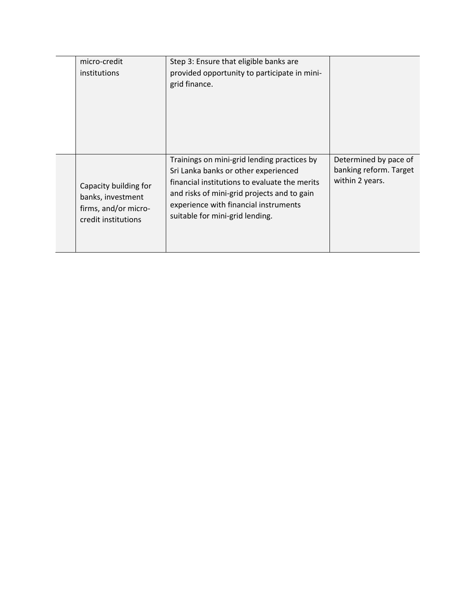| micro-credit                                                                              | Step 3: Ensure that eligible banks are                                                                                                                                                                                                                          |                                                                    |
|-------------------------------------------------------------------------------------------|-----------------------------------------------------------------------------------------------------------------------------------------------------------------------------------------------------------------------------------------------------------------|--------------------------------------------------------------------|
| institutions                                                                              | provided opportunity to participate in mini-                                                                                                                                                                                                                    |                                                                    |
|                                                                                           | grid finance.                                                                                                                                                                                                                                                   |                                                                    |
| Capacity building for<br>banks, investment<br>firms, and/or micro-<br>credit institutions | Trainings on mini-grid lending practices by<br>Sri Lanka banks or other experienced<br>financial institutions to evaluate the merits<br>and risks of mini-grid projects and to gain<br>experience with financial instruments<br>suitable for mini-grid lending. | Determined by pace of<br>banking reform. Target<br>within 2 years. |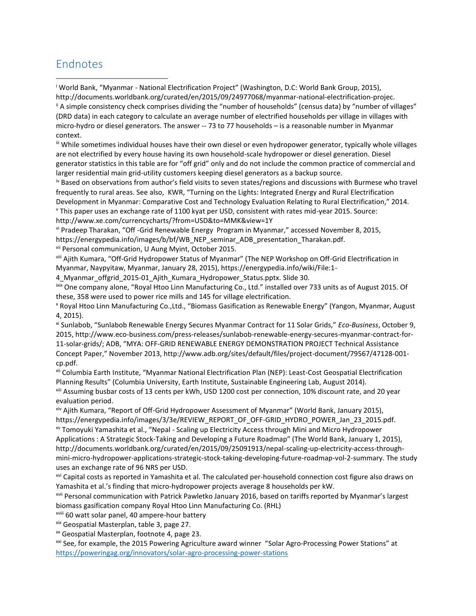## Endnotes

 $\overline{a}$ 

<sup>i</sup> World Bank, "Myanmar - National Electrification Project" (Washington, D.C: World Bank Group, 2015), http://documents.worldbank.org/curated/en/2015/09/24977068/myanmar-national-electrification-projec.

ii A simple consistency check comprises dividing the "number of households" (census data) by "number of villages" (DRD data) in each category to calculate an average number of electrified households per village in villages with micro-hydro or diesel generators. The answer -- 73 to 77 households – is a reasonable number in Myanmar context.

iii While sometimes individual houses have their own diesel or even hydropower generator, typically whole villages are not electrified by every house having its own household-scale hydropower or diesel generation. Diesel generator statistics in this table are for "off grid" only and do not include the common practice of commercial and larger residential main grid-utility customers keeping diesel generators as a backup source.

iv Based on observations from author's field visits to seven states/regions and discussions with Burmese who travel frequently to rural areas. See also, KWR, "Turning on the Lights: Integrated Energy and Rural Electrification Development in Myanmar: Comparative Cost and Technology Evaluation Relating to Rural Electrification," 2014.

<sup>v</sup> This paper uses an exchange rate of 1100 kyat per USD, consistent with rates mid-year 2015. Source:

http://www.xe.com/currencycharts/?from=USD&to=MMK&view=1Y

vi Pradeep Tharakan, "Off -Grid Renewable Energy Program in Myanmar," accessed November 8, 2015, https://energypedia.info/images/b/bf/WB\_NEP\_seminar\_ADB\_presentation\_Tharakan.pdf.

vii Personal communication, U Aung Myint, October 2015.

viii Ajith Kumara, "Off-Grid Hydropower Status of Myanmar" (The NEP Workshop on Off-Grid Electrification in Myanmar, Naypyitaw, Myanmar, January 28, 2015), https://energypedia.info/wiki/File:1-

4\_Myanmar\_offgrid\_2015-01\_Ajith\_Kumara\_Hydropower\_Status.pptx. Slide 30.

ixix One company alone, "Royal Htoo Linn Manufacturing Co., Ltd." installed over 733 units as of August 2015. Of these, 358 were used to power rice mills and 145 for village electrification.

<sup>x</sup> Royal Htoo Linn Manufacturing Co.,Ltd., "Biomass Gasification as Renewable Energy" (Yangon, Myanmar, August 4, 2015).

xi Sunlabob, "Sunlabob Renewable Energy Secures Myanmar Contract for 11 Solar Grids," *Eco-Business*, October 9, 2015, http://www.eco-business.com/press-releases/sunlabob-renewable-energy-secures-myanmar-contract-for-11-solar-grids/; ADB, "MYA: OFF-GRID RENEWABLE ENERGY DEMONSTRATION PROJECT Technical Assistance Concept Paper," November 2013, http://www.adb.org/sites/default/files/project-document/79567/47128-001 cp.pdf.

xii Columbia Earth Institute, "Myanmar National Electrification Plan (NEP): Least-Cost Geospatial Electrification Planning Results" (Columbia University, Earth Institute, Sustainable Engineering Lab, August 2014).

xiii Assuming busbar costs of 13 cents per kWh, USD 1200 cost per connection, 10% discount rate, and 20 year evaluation period.

xiv Ajith Kumara, "Report of Off-Grid Hydropower Assessment of Myanmar" (World Bank, January 2015), https://energypedia.info/images/3/3e/REVIEW\_REPORT\_OF\_OFF-GRID\_HYDRO\_POWER\_Jan\_23\_2015.pdf. xv Tomoyuki Yamashita et al., "Nepal - Scaling up Electricity Access through Mini and Micro Hydropower

Applications : A Strategic Stock-Taking and Developing a Future Roadmap" (The World Bank, January 1, 2015), http://documents.worldbank.org/curated/en/2015/09/25091913/nepal-scaling-up-electricity-access-throughmini-micro-hydropower-applications-strategic-stock-taking-developing-future-roadmap-vol-2-summary. The study uses an exchange rate of 96 NRS per USD.

xvi Capital costs as reported in Yamashita et al. The calculated per-household connection cost figure also draws on Yamashita et al.'s finding that micro-hydropower projects average 8 households per kW.

xvii Personal communication with Patrick Pawletko January 2016, based on tariffs reported by Myanmar's largest biomass gasification company Royal Htoo Linn Manufacturing Co. (RHL)

xviii 60 watt solar panel, 40 ampere-hour battery

xix Geospatial Masterplan, table 3, page 27.

<sup>xx</sup> Geospatial Masterplan, footnote 4, page 23.

<sup>xxi</sup> See, for example, the 2015 Powering Agriculture award winner "Solar Agro-Processing Power Stations" at <https://poweringag.org/innovators/solar-agro-processing-power-stations>